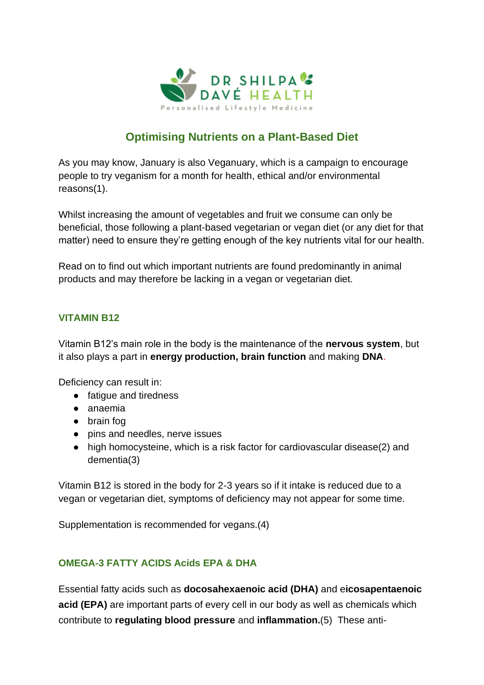

# **Optimising Nutrients on a Plant-Based Diet**

As you may know, January is also Veganuary, which is a campaign to encourage people to try veganism for a month for health, ethical and/or environmental reasons(1).

Whilst increasing the amount of vegetables and fruit we consume can only be beneficial, those following a plant-based vegetarian or vegan diet (or any diet for that matter) need to ensure they're getting enough of the key nutrients vital for our health.

Read on to find out which important nutrients are found predominantly in animal products and may therefore be lacking in a vegan or vegetarian diet.

#### **VITAMIN B12**

Vitamin B12's main role in the body is the maintenance of the **nervous system**, but it also plays a part in **energy production, brain function** and making **DNA**.

Deficiency can result in:

- fatigue and tiredness
- anaemia
- brain fog
- pins and needles, nerve issues
- high homocysteine, which is a risk factor for cardiovascular disease(2) and dementia(3)

Vitamin B12 is stored in the body for 2-3 years so if it intake is reduced due to a vegan or vegetarian diet, symptoms of deficiency may not appear for some time.

Supplementation is recommended for vegans.(4)

## **OMEGA-3 FATTY ACIDS Acids EPA & DHA**

Essential fatty acids such as **docosahexaenoic acid [\(DHA\)](https://selfhacked.com/blog/top-22-science-based-health-benefits-of-fish-oil/)** and e**icosapentaenoic acid (EPA)** are important parts of every cell in our body as well as chemicals which contribute to **regulating blood pressure** and **inflammation.**(5) These anti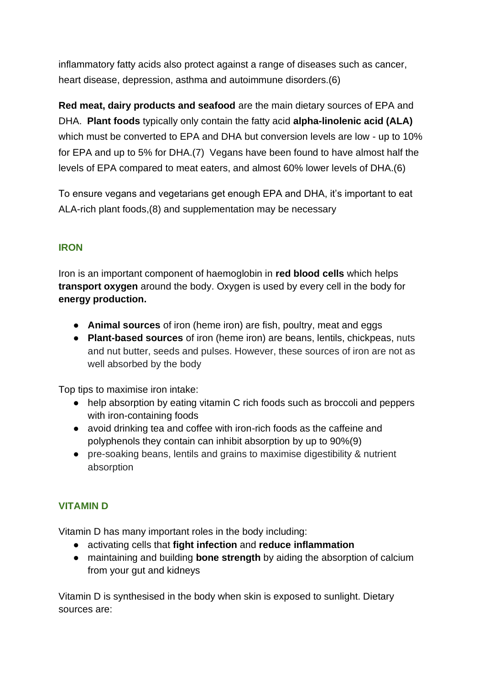inflammatory fatty acids also protect against a range of diseases such as cancer, heart disease, depression, asthma and autoimmune disorders.(6)

**Red meat, dairy products and seafood** are the main dietary sources of EPA and DHA. **Plant foods** typically only contain the fatty acid **alpha-linolenic acid (ALA)**  which must be converted to EPA and DHA but conversion levels are low - up to 10% for EPA and up to 5% for DHA.(7) Vegans have been found to have almost half the levels of EPA compared to meat eaters, and almost 60% lower levels of DHA.(6)

To ensure vegans and vegetarians get enough EPA and DHA, it's important to eat ALA-rich plant foods,(8) and supplementation may be necessary

# **IRON**

Iron is an important component of haemoglobin in **red blood cells** which helps **transport oxygen** around the body. Oxygen is used by every cell in the body for **energy production.**

- **Animal sources** of iron (heme iron) are fish, poultry, meat and eggs
- **Plant-based sources** of iron (heme iron) are beans, lentils, chickpeas, nuts and nut butter, seeds and pulses. However, these sources of iron are not as well absorbed by the body

Top tips to maximise iron intake:

- help absorption by eating vitamin C rich foods such as broccoli and peppers with iron-containing foods
- avoid drinking tea and coffee with iron-rich foods as the caffeine and polyphenols they contain can inhibit absorption by up to 90%(9)
- pre-soaking beans, lentils and grains to maximise digestibility & nutrient absorption

## **VITAMIN D**

Vitamin D has many important roles in the body including:

- activating cells that **fight infection** and **reduce inflammation**
- maintaining and building **bone strength** by aiding the absorption of calcium from your gut and kidneys

Vitamin D is synthesised in the body when skin is exposed to sunlight. Dietary sources are: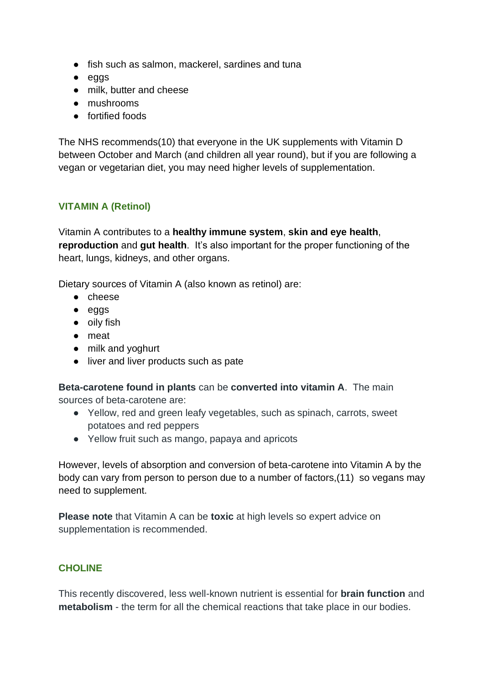- fish such as salmon, mackerel, sardines and tuna
- eggs
- milk, butter and cheese
- mushrooms
- fortified foods

The NHS recommends(10) that everyone in the UK supplements with Vitamin D between October and March (and children all year round), but if you are following a vegan or vegetarian diet, you may need higher levels of supplementation.

#### **VITAMIN A (Retinol)**

Vitamin A contributes to a **healthy immune system**, **skin and eye health**, **reproduction** and **gut health**. It's also important for the proper functioning of the heart, lungs, kidneys, and other organs.

Dietary sources of Vitamin A (also known as retinol) are:

- cheese
- eggs
- oily fish
- meat
- milk and yoghurt
- liver and liver products such as pate

**Beta-carotene found in plants** can be **converted into vitamin A**. The main sources of beta-carotene are:

- Yellow, red and green leafy vegetables, such as spinach, carrots, sweet potatoes and red peppers
- Yellow fruit such as mango, papaya and apricots

However, levels of absorption and conversion of beta-carotene into Vitamin A by the body can vary from person to person due to a number of factors,(11) so vegans may need to supplement.

**Please note** that Vitamin A can be **toxic** at high levels so expert advice on supplementation is recommended.

#### **CHOLINE**

This recently discovered, less well-known nutrient is essential for **brain function** and **metabolism** - the term for all the chemical reactions that take place in our bodies.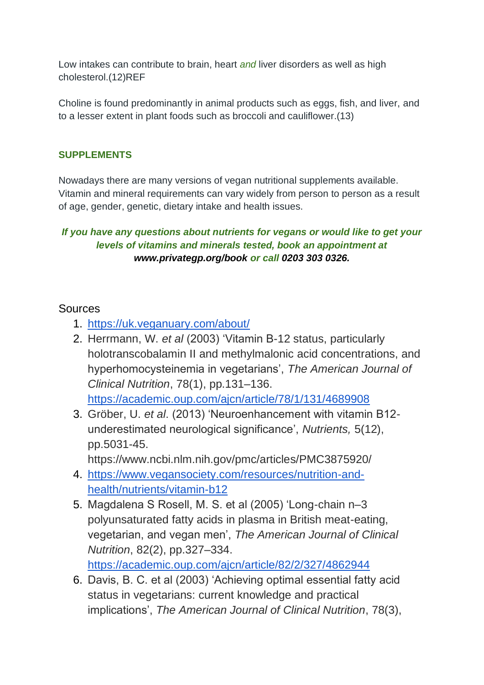Low intakes can contribute to brain, heart *and* liver disorders as well as high cholesterol.(12)REF

Choline is found predominantly in animal products such as eggs, fish, and liver, and to a lesser extent in plant foods such as broccoli and cauliflower.(13)

#### **SUPPLEMENTS**

Nowadays there are many versions of vegan nutritional supplements available. Vitamin and mineral requirements can vary widely from person to person as a result of age, gender, genetic, dietary intake and health issues.

## *If you have any questions about nutrients for vegans or would like to get your levels of vitamins and minerals tested, book an appointment at [www.privategp.org/book](http://www.privategp.org/book) or call 0203 303 0326.*

# **Sources**

- 1. <https://uk.veganuary.com/about/>
- 2. Herrmann, W. *et al* (2003) 'Vitamin B-12 status, particularly holotranscobalamin II and methylmalonic acid concentrations, and hyperhomocysteinemia in vegetarians', *The American Journal of Clinical Nutrition*, 78(1), pp.131–136. <https://academic.oup.com/ajcn/article/78/1/131/4689908>
- 3. Gröber, U. *et al*. (2013) 'Neuroenhancement with vitamin B12 underestimated neurological significance', *Nutrients,* 5(12), pp.5031-45.

https://www.ncbi.nlm.nih.gov/pmc/articles/PMC3875920/

- 4. [https://www.vegansociety.com/resources/nutrition-and](https://www.vegansociety.com/resources/nutrition-and-health/nutrients/vitamin-b12)[health/nutrients/vitamin-b12](https://www.vegansociety.com/resources/nutrition-and-health/nutrients/vitamin-b12)
- 5. Magdalena S Rosell, M. S. et al (2005) 'Long-chain n–3 polyunsaturated fatty acids in plasma in British meat-eating, vegetarian, and vegan men', *The American Journal of Clinical Nutrition*, 82(2), pp.327–334. <https://academic.oup.com/ajcn/article/82/2/327/4862944>
- 6. Davis, B. C. et al (2003) 'Achieving optimal essential fatty acid status in vegetarians: current knowledge and practical implications', *The American Journal of Clinical Nutrition*, 78(3),